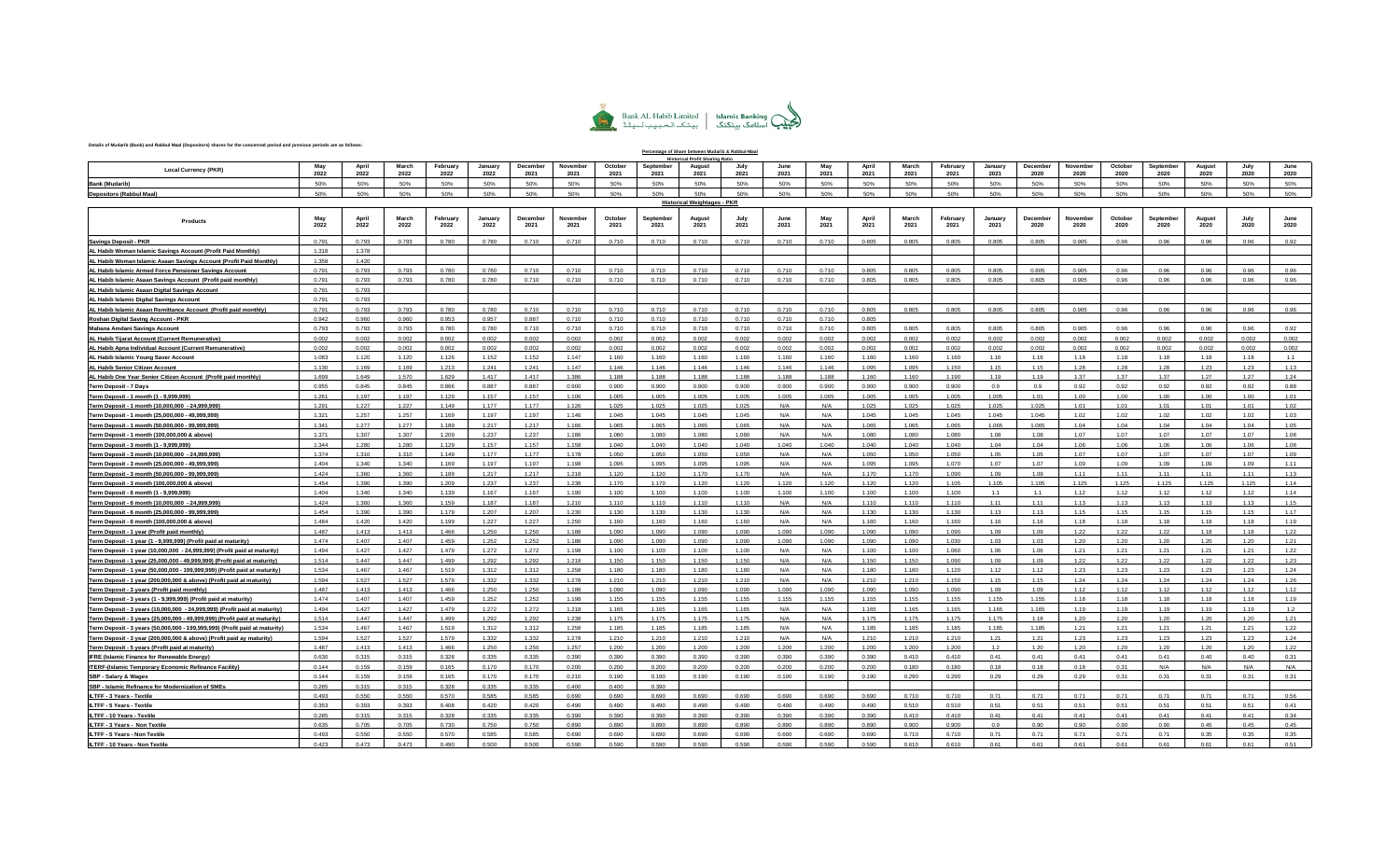

**Percentage of Share between Mudarib & Rabbul-Maal**

## **Details of Mudarib (Bank) and Rabbul Maal (Depositors) shares for the concerned period and previous periods are as follows:**

|                                                                                                     |                |                |                |                  |                 |                  |                  |                 |                   | al Profit Shar                     |                |                |                |                |                |                  |                 |                  |                  |                 |                  |                |              |              |
|-----------------------------------------------------------------------------------------------------|----------------|----------------|----------------|------------------|-----------------|------------------|------------------|-----------------|-------------------|------------------------------------|----------------|----------------|----------------|----------------|----------------|------------------|-----------------|------------------|------------------|-----------------|------------------|----------------|--------------|--------------|
| <b>Local Currency (PKR)</b>                                                                         | 2022           | April<br>2022  | March<br>2022  | February<br>2022 | January<br>2022 | December<br>2021 | Novembe<br>2021  | October<br>2021 | September<br>2021 | Augus<br>2021                      | July<br>2021   | June<br>2021   | May<br>2021    | April<br>2021  | March<br>2021  | February<br>2021 | January<br>2021 | December<br>2020 | November<br>2020 | October<br>2020 | Septembe<br>2020 | August<br>2020 | July<br>2020 | 2020         |
| Bank (Mudarib)                                                                                      | 50%            | 50%            | 50%            | 50%              | 50%             | 50%              | 50%              | 50%             | 50%               | 50%                                | 50%            | 50%            | 50%            | 50%            | 50%            | 50%              | 50%             | 50%              | 50%              | 50%             | 50%              | 50%            | 50%          | 50%          |
| <b>Depositors (Rabbul Maal)</b>                                                                     | 50%            | 50%            | 50%            | 50%              | 50%             | 50%              | 50%              | 50%             | 50%               | 50%                                | 50%            | 50%            | 50%            | 50%            | 50%            | 50%              | 50%             | 50%              | 50%              | 50%             | 50%              | 50%            | 50%          | 50%          |
|                                                                                                     |                |                |                |                  |                 |                  |                  |                 |                   | <b>Historical Weightages - PKR</b> |                |                |                |                |                |                  |                 |                  |                  |                 |                  |                |              |              |
|                                                                                                     |                |                |                |                  |                 |                  |                  |                 |                   |                                    |                |                |                |                |                |                  |                 |                  |                  |                 |                  |                |              |              |
| Products                                                                                            | May<br>2022    | April<br>2022  | March<br>2022  | February<br>2022 | January<br>2022 | December<br>2021 | November<br>2021 | October<br>2021 | September<br>2021 | Augus<br>2021                      | July<br>2021   | June<br>2021   | May<br>2021    | April<br>2021  | March<br>2021  | February<br>2021 | January<br>2021 | December<br>2020 | November<br>2020 | October<br>2020 | Septembe<br>2020 | August<br>2020 | July<br>2020 | 2020         |
| <b>Savings Deposit - PKR</b>                                                                        | 0.791          | 0.793          | 0.793          | 0.780            | 0.780           | 0.710            | 0.710            | 0.710           | 0.710             | 0.710                              | 0.710          | 0.710          | 0.710          | 0.805          | 0.805          | 0.805            | 0.805           | 0.805            | 0.905            | 0.96            | 0.96             | 0.96           | 0.96         | 0.92         |
| AL Habib Woman Islamic Savings Account (Profit Paid Monthly                                         | 1.318          | 1.378          |                |                  |                 |                  |                  |                 |                   |                                    |                |                |                |                |                |                  |                 |                  |                  |                 |                  |                |              |              |
| AL Habib Woman Islamic Asaan Savings Account (Profit Paid Monthly)                                  | 1.358          | 1.420          |                |                  |                 |                  |                  |                 |                   |                                    |                |                |                |                |                |                  |                 |                  |                  |                 |                  |                |              |              |
| AL Habib Islamic Armed Force Pensioner Savings Account                                              | 0.791          | 0.793          | 0.793          | 0.780            | 0.780           | 0.710            | 0.710            | 0.710           | 0.710             | 0.710                              | 0.710          | 0.710          | 0.710          | 0.805          | 0.805          | 0.805            | 0.805           | 0.805            | 0.905            | 0.96            | 0.96             | 0.96           | 0.96         | 0.96         |
| AL Habib Islamic Asaan Savings Account (Profit paid monthly)                                        | 0.791          | 0.793          | 0.793          | 0.780            | 0.780           | 0.710            | 0.710            | 0.710           | 0.710             | 0.710                              | 0.710          | 0.710          | 0.710          | 0.805          | 0.805          | 0.805            | 0.805           | 0.805            | 0.905            | 0.96            | 0.96             | 0.96           | 0.96         | 0.96         |
| AL Habib Islamic Asaan Digital Savings Account                                                      | 0.791          | 0.793          |                |                  |                 |                  |                  |                 |                   |                                    |                |                |                |                |                |                  |                 |                  |                  |                 |                  |                |              |              |
| <u>AL Habib Islamic Digital Savings Account</u>                                                     | 0.791          | 0.793          |                |                  |                 |                  |                  |                 |                   |                                    |                |                |                |                |                |                  |                 |                  |                  |                 |                  |                |              |              |
| AL Habib Islamic Asaan Remittance Account (Profit paid monthly).                                    | 0.791          | 0.793          | 0.793          | 0.780            | 0.780           | 0.710            | 0.710            | 0.710           | 0.710             | 0.710                              | 0.710          | 0.710          | 0.710          | 0.805          | 0.805          | 0.805            | 0.805           | 0.805            | 0.905            | 0.96            | 0.96             | 0.96           | 0.96         | 0.96         |
| Roshan Digital Saving Account - PKR                                                                 | 0.942          | 0.960          | 0.960          | 0.953            | 0.957           | 0.887            | 0.710            | 0.710           | 0.710             | 0.710                              | 0.710          | 0.710          | 0.710          | 0.805          |                |                  |                 |                  |                  |                 |                  |                |              |              |
| <b>Mahana Amdani Savings Account</b>                                                                | 0.793          | 0.793          | 0.793          | 0.780            | 0.780           | 0.710            | 0.710            | 0.710           | 0.710             | 0.710                              | 0.710          | 0.710          | 0.710          | 0.805          | 0.805          | 0.805            | 0.805           | 0.805            | 0.905            | 0.96            | 0.96             | 0.96           | 0.96         | 0.92         |
| AL Habib Tijarat Account (Current Remunerative)                                                     | 0.002          | 0.002          | 0.002          | 0.002            | 0.002           | 0.002            | 0.002            | 0.002           | 0.002             | 0.002                              | 0.002          | 0.002          | 0.002          | 0.002          | 0.002          | 0.002            | 0.002           | 0.002            | 0.002            | 0.002           | 0.002            | 0.002          | 0.002        | 0.002        |
| AL Habib Apna Individual Account (Current Remunerative)                                             | 0.002          | 0.002          | 0.002          | 0.002            | 0.002           | 0.002            | 0.002            | 0.002           | 0.002             | 0.002                              | 0.002          | 0.002          | 0.002          | 0.002          | 0.002          | 0.002            | 0.002           | 0.002            | 0.002            | 0.002           | 0.002            | 0.002          | 0.002        | 0.002        |
| AL Habib Islamic Young Saver Account                                                                | 1.083          | 1.120          | 1.120          | 1.126            | 1.152           | 1.152            | 1.147            | 1.160           | 1.160             | 1.160                              | 1.160          | 1.160          | 1.160          | 1.160          | 1.160          | 1.160            | 1.16            | 1.16             | 1.18             | 1.18            | 1.18             | 1.18           | 1.18         | 1.1          |
| AL Habib Senior Citizen Account                                                                     | 1.130          | 1.169          | 1.169          | 1.213            | 1.241           | 1.241            | 1.147            | 1.146           | 1.146             | 1.146                              | 1.146          | 1.146          | 1.146          | 1.095          | 1.095          | 1.150            | 1.15            | 1.15             | 1.28             | 1.28            | 1.28             | 1.23           | 1.23         | 1.13         |
| AL Habib One Year Senior Citizen Account (Profit paid monthly)                                      | 1.699          | 1.649          | 1.570          | 1.629            | 1.417           | 1.417            | 1.386            | 1.188           | 1.188             | 1.188                              | 1.188          | 1.188          | 1.188          | 1.160          | 1.160          | 1.190            | 1.19            | 1.19             | 1.37             | 1.37            | 1.37             | 1.27           | 1.27         | 1.24         |
| Term Deposit - 7 Days                                                                               | 0.955          | 0.845          | 0.845          | 0.866            | 0.887           | 0.887            | 0.900            | 0.900           | 0.900             | 0.900                              | 0.900          | 0.900          | 0.900          | 0.900          | 0.900          | 0.900            | 0.9             | 0.9              | 0.92             | 0.92            | 0.92             | 0.92           | 0.92         | 0.88         |
| <u> Term Deposit - 1 month (1 - 9,999,999)</u>                                                      | 1.261          | 1.197          | 1.197          | 1.129            | 1.157           | 1.157            | 1.106            | 1.005           | 1.005             | 1.005                              | 1.005          | 1.005          | 1.005          | 1.005          | 1.005          | 1.005            | 1.005           | 1.01             | 1.00             | 1.00            | 1.00             | 1.00           | 1.00         | 1.01         |
| Term Deposit - 1 month (10,000,000 - 24,999,999)                                                    | 1.291          | 1.227          | 1.227          | 1.149            | 1.177           | 1.177            | 1.126            | 1.025           | 1.025             | 1.025                              | 1.025          | N/A            | N/A            | 1.025          | 1.025          | 1.025            | 1.025           | 1.025            | 1.01             | 1.01            | 1.01             | 1.01           | 1.01         | 1.02         |
| Term Deposit - 1 month (25,000,000 - 49,999,999)                                                    | 1.321          | 1.257          | 1.257          | 1.169            | 1.197           | 1.197            | 1.146            | 1.045           | 1.045             | 1.045                              | 1.045          | $N/\Delta$     | N/A            | 1.045          | 1.045          | 1.045            | 1.045           | 1.045            | 1.02             | 1.02            | 1.02             | 1.02           | 102          | 1.03         |
| Term Deposit - 1 month (50,000,000 - 99,999,999)                                                    | 1.341          | 1.277          | 1.277          | 1.189            | 1.217           | 1.217            | 1.166            | 1.065           | 1.065             | 1.065                              | 1.065          | N/A            | N/A            | 1.065          | 1.065          | 1.065            | 1.065           | 1.065            | 1.04             | 1.04            | 1.04             | 1.04           | 1.04         | 1.05         |
| Term Deposit - 1 month (100,000,000 & above)                                                        | 1.371<br>1.344 | 1.307          | 1.307          | 1.209            | 1.237<br>1.157  | 1.237<br>1.157   | 1.186<br>1.158   | 1.080           | 1.080             | 1.080<br>1.040                     | 1.080          | N/A<br>1.040   | N/A<br>1.040   | 1.080          | 1.080<br>1.040 | 1.080            | 1.08<br>1.04    | 1.08             | 1.07             | 1.07<br>1.06    | 1.07<br>1.06     | 1.07<br>1.06   | 1.07         | 1.08         |
| Term Deposit - 3 month (1 - 9,999,999)                                                              | 1.374          | 1.280<br>1.310 | 1.280<br>1.310 | 1.129<br>1.149   | 1.177           | 1.177            | 1.178            | 1.040<br>1.050  | 1.040<br>1.050    | 1.050                              | 1.040<br>1.050 | N/A            | N/A            | 1.040<br>1.050 | 1.050          | 1.040<br>1.050   | 1.05            | 1.04<br>1.05     | 1.06<br>1.07     | 1.07            | 1.07             | 1.07           | 1.06<br>1.07 | 1.08<br>1.09 |
| Term Deposit - 3 month (10,000,000 - 24,999,999)                                                    | 1.404          | 1.340          | 1.340          | 1.169            | 1.197           | 1.197            | 1.198            | 1.095           | 1.095             | 1.095                              | 1.095          | N/A            | N/A            | 1.095          | 1.095          | 1.070            | 1.07            | 1.07             | 1.09             | 1.09            | 1.09             | 1.09           | 1.09         | 1.11         |
| Term Deposit - 3 month (25,000,000 - 49,999,999<br>Term Deposit - 3 month (50,000,000 - 99,999,999) | 1.424          | 1.360          | 1.360          | 1.189            | 1.217           | 1.217            | 1.218            | 1.120           | 1.120             | 1.170                              | 1.170          | N/A            | N/A            | 1.170          | 1.170          | 1.090            | 1.09            | 1.09             | 1.11             | 1.11            | 1.11             | 1.11           | 1.11         | 1.13         |
| Term Deposit - 3 month (100,000,000 & above)                                                        | 1.454          | 1.390          | 1.390          | 1.209            | 1.237           | 1.237            | 1.238            | 1.170           | 1.170             | 1.120                              | 1.120          | 1.120          | 1.120          | 1.120          | 1.120          | 1.105            | 1.105           | 1.105            | 1.125            | 1.125           | 1.125            | 1.125          | 1.125        | 1.14         |
| <u> Term Deposit - 6 month (1 - 9,999,999)</u>                                                      | 1.404          | 1.340          | 1.340          | 1.139            | 1.167           | 1.167            | 1.190            | 1.100           | 1.100             | 1.100                              | 1.100          | 1.100          | 1.100          | 1.100          | 1.100          | 1.100            | 11              | 1.1              | 1.12             | 1.12            | 1.12             | 1.12           | 1.12         | 1.14         |
| Term Deposit - 6 month (10,000,000 - 24,999,999)                                                    | 1.424          | 1.360          | 1.360          | 1.159            | 1.187           | 1.187            | 1.210            | 1.110           | 1.110             | 1.110                              | 1.110          | N/A            | N/A            | 1.110          | 1.110          | 1.110            | 1.11            | 1.11             | 1.13             | 1.13            | 1.13             | 1.13           | 1.13         | 1.15         |
| Term Deposit - 6 month (25,000,000 - 99,999,999                                                     | 1.454          | 1.390          | 1.390          | 1.179            | 1.207           | 1.207            | 1.230            | 1.130           | 1.130             | 1.130                              | 1.130          | N/A            | N/A            | 1.130          | 1.130          | 1.130            | 1.13            | 1.13             | 1.15             | 1.15            | 1.15             | 1.15           | 1.15         | 1.17         |
| <u> Term Deposit - 6 month (100,000,000 &amp; above)</u>                                            | 1.484          | 1.420          | 1.420          | 1.199            | 1.227           | 1.227            | 1.250            | 1.160           | 1.160             | 1.160                              | 1.160          | N/A            | N/A            | 1.160          | 1.160          | 1.160            | 1.16            | 1.16             | 1.18             | 1.18            | 1.18             | 1.18           | 1.18         | 1.19         |
| Term Deposit - 1 year (Profit paid monthly)                                                         | 1.487          | 1.413          | 1.413          | 1.466            | 1.250           | 1.250            | 1.188            | 1.090           | 1.090             | 1.090                              | 1.090          | 1.090          | 1.090          | 1.090          | 1.090          | 1.090            | 1.09            | 1.09             | 1.22             | 1.22            | 1.22             | 1.18           | 1.18         | 1.22         |
| Term Deposit - 1 year (1 - 9,999,999) (Profit paid at maturity)                                     | 1.474          | 1.407          | 1.407          | 1.459            | 1.252           | 1.252            | 1.188            | 1.090           | 1.090             | 1.090                              | 1.090          | 1.090          | 1.090          | 1.090          | 1.090          | 1.030            | 1.03            | 1.03             | 1.20             | 1.20            | 1.20             | 1.20           | 1.20         | 1.21         |
| Term Deposit - 1 year (10,000,000 - 24,999,999) (Profit paid at maturity)                           | 1.494          | 1.427          | 1.427          | 1.479            | 1.272           | 1.272            | 1.198            | 1.100           | 1.100             | 1.100                              | 1.100          | N/A            | N/A            | 1.100          | 1.100          | 1.060            | 1.06            | 1.06             | 1.21             | 1.21            | 1.21             | 1.21           | 1.21         | 1.22         |
| Term Deposit - 1 year (25,000,000 - 49,999,999) (Profit paid at maturity)                           | 1.514          | 1.447          | 1.447          | 1.499            | 1.292           | 1.292            | 1.218            | 1.150           | 1.150             | 1.150                              | 1.150          | N/A            | N/A            | 1.150          | 1.150          | 1.090            | 1.09            | 1.09             | 1.22             | 1.22            | 1.22             | 1.22           | 1.22         | 1.23         |
| Term Deposit - 1 year (50,000,000 - 199,999,999) (Profit paid at maturity)                          | 1.534          | 1.467          | 1.467          | 1.519            | 1.312           | 1.312            | 1.258            | 1.180           | 1.180             | 1.180                              | 1.180          | N/A            | N/A            | 1.180          | 1.180          | 1.120            | 1.12            | 1.12             | 1.23             | 1.23            | 1.23             | 1.23           | 1.23         | 1.24         |
| Term Deposit - 1 year (200,000,000 & above) (Profit paid at maturity)                               | 1.594          | 1.527          | 1.527          | 1.579            | 1.332           | 1.332            | 1.278            | 1.210           | 1.210             | 1.210                              | 1.210          | N/A            | N/A            | 1.210          | 1.210          | 1.150            | 1.15            | 1.15             | 1.24             | 1.24            | 1.24             | 1.24           | 1.24         | 1.26         |
| Term Deposit - 3 years (Profit paid monthly)                                                        | 1.487          | 1.413          | 1.413          | 1.466            | 1.250           | 1.250            | 1.188            | 1.090           | 1.090             | 1.090                              | 1.090          | 1.090          | 1.090          | 1.090          | 1.090          | 1.090            | 1.09            | 1.09             | 1.12             | 1.12            | 1.12             | 1.12           | 1.12         | 1.12         |
| Term Deposit - 3 years (1 - 9,999,999) (Profit paid at maturity)                                    | 1.474          | 1.407          | 1.407          | 1.459            | 1.252           | 1.252            | 1.198            | 1.155           | 1.155             | 1.155                              | 1.155          | 1.155          | 1.155          | 1.155          | 1.155          | 1.155            | 1.155           | 1.155            | 1.18             | 1.18            | 1.18             | 1.18           | 1.18         | 1.19         |
| Term Deposit - 3 years (10,000,000 - 24,999,999) (Profit paid at maturity)                          | 1.494          | 1.427          | 1.427          | 1.479            | 1.272           | 1.272            | 1.218            | 1.165           | 1.165             | 1.165                              | 1.165          | N/A            | N/A            | 1.165          | 1.165          | 1.165            | 1.165           | 1.165            | 1.19             | 1.19            | 1.19             | 1.19           | 1.19         | 1.2          |
| Term Deposit - 3 years (25,000,000 - 49,999,999) (Profit paid at maturity)                          | 1.514          | 1.447          | 1.447          | 1.499            | 1.292           | 1.292            | 1.238            | 1.175           | 1.175             | 1.175                              | 1.175          | N/A            | N/A            | 1.175          | 1.175          | 1.175            | 1.175           | 1.18             | 1.20             | 1.20            | 1.20             | 1.20           | 1.20         | 1.21         |
| Term Deposit - 3 years (50,000,000 - 199,999,999) (Profit paid at maturity)                         | 1.534          | 1.467          | 1.467          | 1.519            | 1.312           | 1.312            | 1.258            | 1.185           | 1.185             | 1.185                              | 1.185          | N/A            | N/A            | 1.185          | 1.185          | 1.185            | 1.185           | 1.185            | 1.21             | 1.21            | 1.21             | 1.21           | 1.21         | 1.22         |
| <u> Term Deposit - 3 year (200,000,000 &amp; above) (Profit paid ay maturity).</u>                  | 1.594          | 1.527          | 1.527          | 1.579            | 1.332           | 1.332            | 1.278            | 1.210           | 1.210             | 1.210                              | 1.210          | N/A            | N/A            | 1.210          | 1.210          | 1.210            | 1.21            | 1.21             | 1.23             | 1.23            | 1.23             | 1.23           | 1.23         | 1.24         |
| Term Deposit - 5 years (Profit paid at maturity                                                     | 1.487          | 1.413          | 1.413          | 1.466            | 1.250           | 1.250            | 1.257            | 1.200           | 1.200             | 1.200                              | 1.200          | 1.200          | 1.200          | 1.200          | 1.200          | 1.200            | 1.2             | 1.20             | 1.20             | 1.20            | 1.20             | 1.20           | 1.20         | 1.22         |
| <b>IFRE (Islamic Finance for Renewable Energy)</b>                                                  | 0.630          | 0.315          | 0.315          | 0.328            | 0.335           | 0.335            | 0.390            | 0.390           | 0.390             | 0.390                              | 0.390          | 0.390          | 0.390          | 0.390          | 0.410          | 0.410            | 0.41            | 0.41             | 0.41             | 0.41            | 0.41             | 0.40           | 0.40         | 0.31         |
| ITERF-(Islamic Temporary Economic Refinance Facility)                                               | 0.144          | 0.159          | 0.159          | 0.165            | 0.170           | 0.170            | 0.200            | 0.200           | 0.200             | 0.200                              | 0.200          | 0.200          | 0.200          | 0.200          | 0.180          | 0.180            | 0.18            | 0.18             | 0.18             | 0.31            | N/A              | N/A            | N/A          | N/A          |
| SBP - Salary & Wages                                                                                | 0.144          | 0.159          | 0.159          | 0.165            | 0.170           | 0.170            | 0.210            | 0.190           | 0.190             | 0.190                              | 0.190          | 0.190          | 0.190          | 0.190          | 0.290          | 0.290            | 0.29            | 0.29             | 0.29             | 0.31            | 0.31             | 0.31           | 0.31         | 0.31         |
| SBP - Islamic Refinance for Modernization of SMEs                                                   | 0.285          | 0.315          | 0.315          | 0.328            | 0.335           | 0.335            | 0.400            | 0.400           | 0.390             |                                    |                |                |                |                |                |                  |                 |                  |                  |                 |                  |                |              |              |
| ILTFF - 3 Years - Textile                                                                           | 0.493          | 0.550          | 0.550          | 0.570            | 0.585           | 0.585            | 0.690            | 0.690           | 0.690             | 0.690                              | 0.690          | 0.690          | 0.690          | 0.690          | 0.710          | 0.710            | 0.71            | 0.71             | 0.71             | 0.71            | 0.71             | 0.71           | 0.71         | 0.56         |
| <b>ILTFF - 5 Years - Textile</b>                                                                    | 0.353          | 0.393          | 0.393          | 0.408            | 0.420           | 0.420            | 0.490            | 0.490           | 0.490             | 0.490                              | 0.490          | 0.490          | 0.490          | 0.490          | 0.510          | 0.510            | 0.51            | 0.51             | 0.51             | 0.51            | 0.51             | 0.51           | 0.51         | 0.41         |
| ILTFF - 10 Years - Textile                                                                          | 0.285          | 0.315          | 0.315          | 0.328            | 0.335           | 0.335            | 0.390            | 0.390           | 0.390             | 0.390                              | 0.390          | 0.390          | 0.390          | 0.390          | 0.410          | 0.410            | 0.41            | 0.41             | 0.41             | 0.41            | 0.41             | 0.41           | 0.41         | 0.34         |
| ILTFF - 3 Years - Non Textil                                                                        | 0.635<br>0.493 | 0.705          | 0.705<br>0.550 | 0.730<br>0.570   | 0.750<br>0.585  | 0.750<br>0.585   | 0.890<br>0.690   | 0.890<br>0.690  | 0.890<br>0.690    | 0.890<br>0.690                     | 0.890<br>0.690 | 0.890<br>0.690 | 0.890<br>0.690 | 0.890<br>0.690 | 0.900<br>0.710 | 0.900<br>0.710   | 0.9<br>0.71     | 0.90<br>0.71     | 0.90<br>0.71     | 0.90<br>0.71    | 0.90<br>0.71     | 0.45<br>0.35   | 0.45<br>0.35 | 0.45<br>0.35 |
| ILTFF - 5 Years - Non Textile<br>ILTFF - 10 Years - Non Textile                                     | 0.423          | 0.550<br>0.473 | 0.473          | 0.490            | 0.500           | 0.500            | 0.590            | 0.590           | 0.590             | 0.590                              | 0.590          | 0.590          | 0.590          | 0.590          | 0.610          | 0.610            | 0.61            | 0.61             | 0.61             | 0.61            | 0.61             | 0.61           | 0.61         | 0.51         |
|                                                                                                     |                |                |                |                  |                 |                  |                  |                 |                   |                                    |                |                |                |                |                |                  |                 |                  |                  |                 |                  |                |              |              |